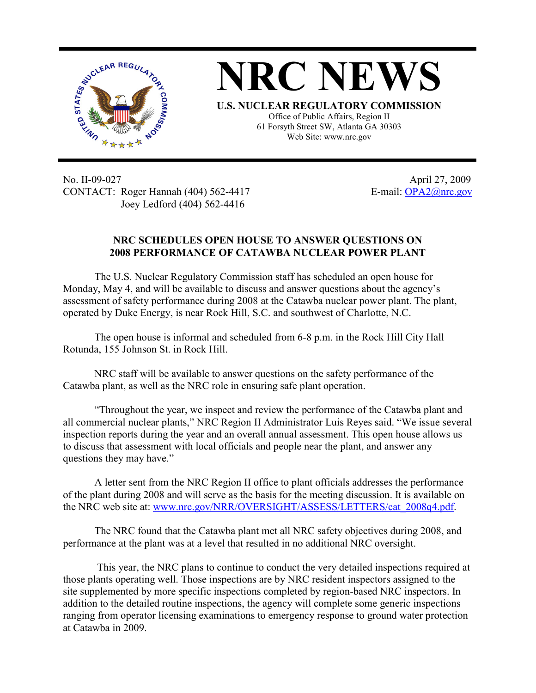

No. II-09-027 April 27, 2009 CONTACT: Roger Hannah (404) 562-4417 E-mail: OPA2@nrc.gov Joey Ledford (404) 562-4416

## **NRC SCHEDULES OPEN HOUSE TO ANSWER QUESTIONS ON 2008 PERFORMANCE OF CATAWBA NUCLEAR POWER PLANT**

The U.S. Nuclear Regulatory Commission staff has scheduled an open house for Monday, May 4, and will be available to discuss and answer questions about the agency's assessment of safety performance during 2008 at the Catawba nuclear power plant. The plant, operated by Duke Energy, is near Rock Hill, S.C. and southwest of Charlotte, N.C.

The open house is informal and scheduled from 6-8 p.m. in the Rock Hill City Hall Rotunda, 155 Johnson St. in Rock Hill.

NRC staff will be available to answer questions on the safety performance of the Catawba plant, as well as the NRC role in ensuring safe plant operation.

"Throughout the year, we inspect and review the performance of the Catawba plant and all commercial nuclear plants," NRC Region II Administrator Luis Reyes said. "We issue several inspection reports during the year and an overall annual assessment. This open house allows us to discuss that assessment with local officials and people near the plant, and answer any questions they may have."

A letter sent from the NRC Region II office to plant officials addresses the performance of the plant during 2008 and will serve as the basis for the meeting discussion. It is available on the NRC web site at: www.nrc.gov/NRR/OVERSIGHT/ASSESS/LETTERS/cat\_2008q4.pdf.

The NRC found that the Catawba plant met all NRC safety objectives during 2008, and performance at the plant was at a level that resulted in no additional NRC oversight.

 This year, the NRC plans to continue to conduct the very detailed inspections required at those plants operating well. Those inspections are by NRC resident inspectors assigned to the site supplemented by more specific inspections completed by region-based NRC inspectors. In addition to the detailed routine inspections, the agency will complete some generic inspections ranging from operator licensing examinations to emergency response to ground water protection at Catawba in 2009.